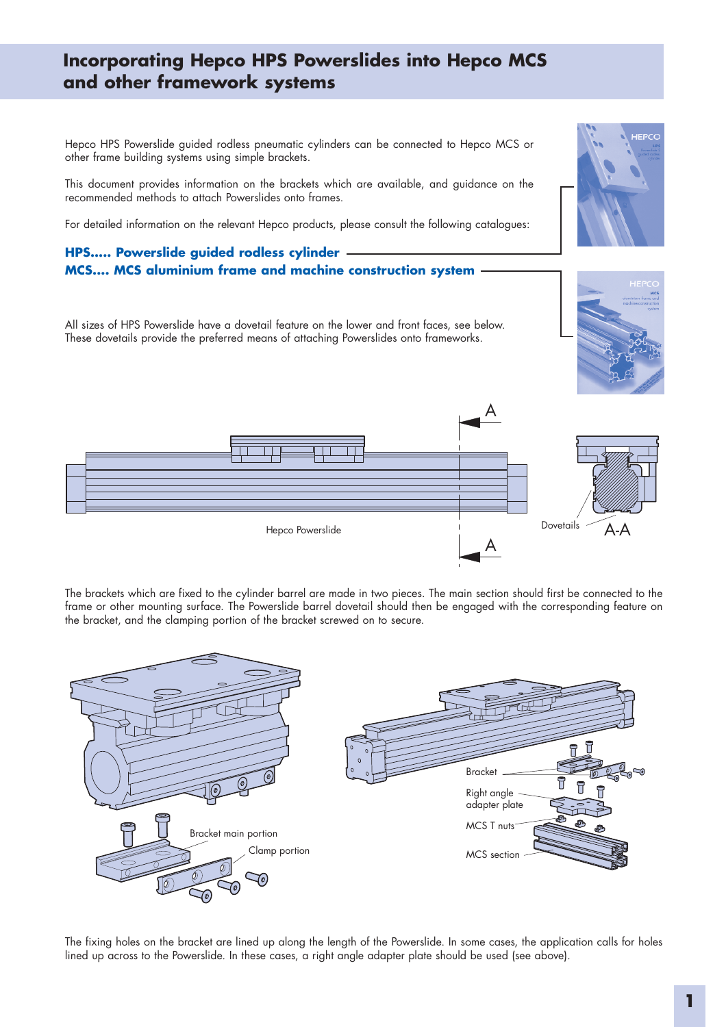## **Incorporating Hepco HPS Powerslides into Hepco MCS and other framework systems**

Hepco HPS Powerslide guided rodless pneumatic cylinders can be connected to Hepco MCS or other frame building systems using simple brackets.

This document provides information on the brackets which are available, and guidance on the recommended methods to attach Powerslides onto frames.

For detailed information on the relevant Hepco products, please consult the following catalogues:

# **HPS..... Powerslide guided rodless cylinder MCS.... MCS aluminium frame and machine construction system**

All sizes of HPS Powerslide have a dovetail feature on the lower and front faces, see below. These dovetails provide the preferred means of attaching Powerslides onto frameworks.





The brackets which are fixed to the cylinder barrel are made in two pieces. The main section should first be connected to the frame or other mounting surface. The Powerslide barrel dovetail should then be engaged with the corresponding feature on the bracket, and the clamping portion of the bracket screwed on to secure.



The fixing holes on the bracket are lined up along the length of the Powerslide. In some cases, the application calls for holes lined up across to the Powerslide. In these cases, a right angle adapter plate should be used (see above).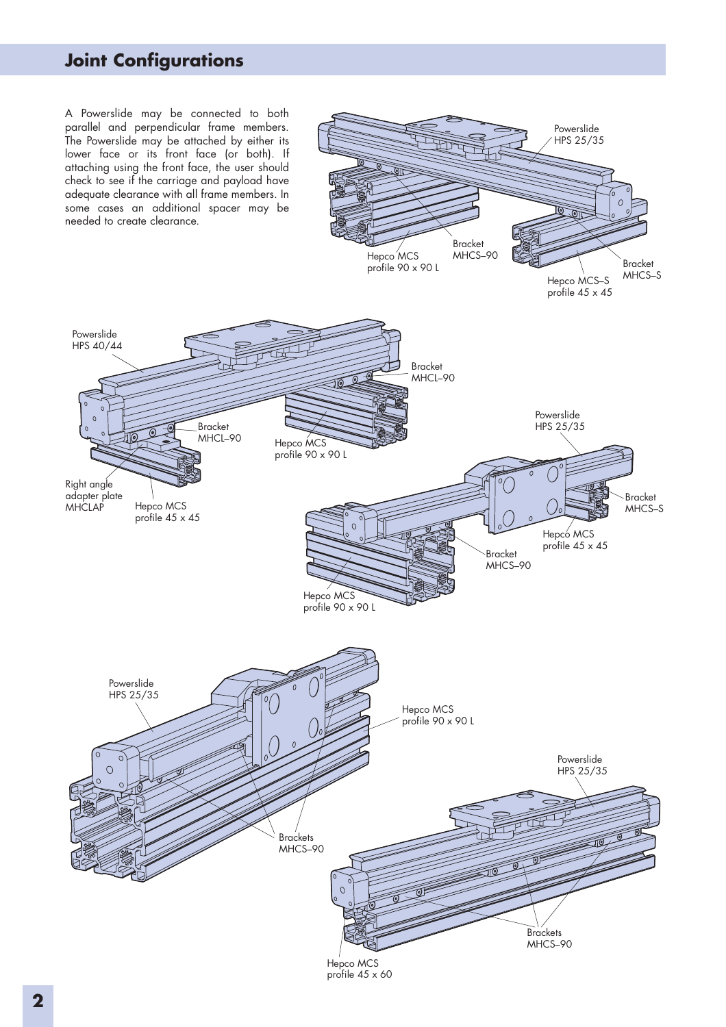# **Joint Configurations**

A Powerslide may be connected to both parallel and perpendicular frame members. The Powerslide may be attached by either its lower face or its front face (or both). If attaching using the front face, the user should check to see if the carriage and payload have adequate clearance with all frame members. In some cases an additional spacer may be needed to create clearance.

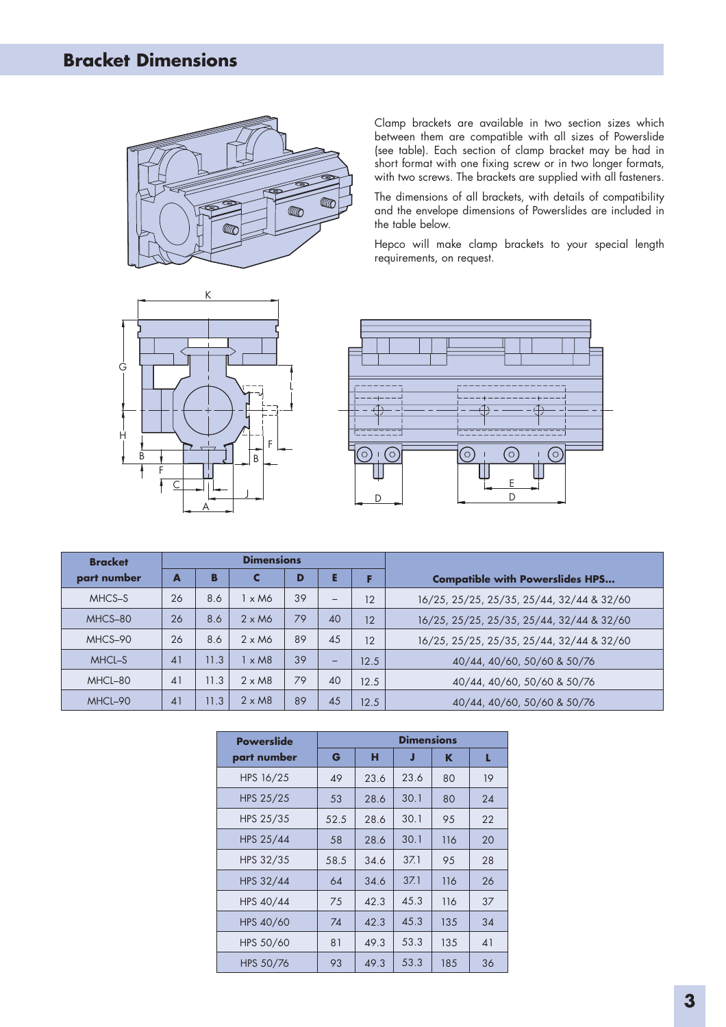# **Bracket Dimensions**



Clamp brackets are available in two section sizes which between them are compatible with all sizes of Powerslide (see table). Each section of clamp bracket may be had in short format with one fixing screw or in two longer formats, with two screws. The brackets are supplied with all fasteners.

The dimensions of all brackets, with details of compatibility and the envelope dimensions of Powerslides are included in the table below.

Hepco will make clamp brackets to your special length requirements, on request.





| <b>Bracket</b> | <b>Dimensions</b> |      |                         |    |    |      |                                           |
|----------------|-------------------|------|-------------------------|----|----|------|-------------------------------------------|
| part number    | A                 | В    | C                       | D  | E  |      | <b>Compatible with Powerslides HPS</b>    |
| MHCS-S         | 26                | 8.6  | 1 x M6                  | 39 | -  | 12   | 16/25, 25/25, 25/35, 25/44, 32/44 & 32/60 |
| MHCS-80        | 26                | 8.6  | $2 \times M6$           | 79 | 40 | 12   | 16/25, 25/25, 25/35, 25/44, 32/44 & 32/60 |
| MHCS-90        | 26                | 8.6  | $2 \times M6$           | 89 | 45 | 12   | 16/25, 25/25, 25/35, 25/44, 32/44 & 32/60 |
| MHCL-S         | 41                | 11.3 | $\times$ M <sub>8</sub> | 39 | -  | 12.5 | 40/44, 40/60, 50/60 & 50/76               |
| MHCL-80        | 41                | 11.3 | $2 \times M8$           | 79 | 40 | 12.5 | 40/44, 40/60, 50/60 & 50/76               |
| MHCL-90        | 41                | 11.3 | $2 \times M8$           | 89 | 45 | 12.5 | 40/44, 40/60, 50/60 & 50/76               |

| <b>Powerslide</b> | <b>Dimensions</b> |      |      |     |    |  |  |  |
|-------------------|-------------------|------|------|-----|----|--|--|--|
| part number       | G                 | н    | J    | K   | L  |  |  |  |
| HPS 16/25         | 49                | 23.6 | 23.6 | 80  | 19 |  |  |  |
| HPS 25/25         | 53                | 28.6 | 30.1 | 80  | 24 |  |  |  |
| HPS 25/35         | 52.5              | 28.6 | 30.1 | 95  | 22 |  |  |  |
| HPS 25/44         | 58                | 28.6 | 30.1 | 116 | 20 |  |  |  |
| HPS 32/35         | 58.5              | 34.6 | 37.1 | 95  | 28 |  |  |  |
| HPS 32/44         | 64                | 34.6 | 37.1 | 116 | 26 |  |  |  |
| HPS 40/44         | 75                | 42.3 | 45.3 | 116 | 37 |  |  |  |
| HPS 40/60         | 74                | 42.3 | 45.3 | 135 | 34 |  |  |  |
| HPS 50/60         | 81                | 49.3 | 53.3 | 135 | 41 |  |  |  |
| HPS 50/76         | 93                | 49.3 | 53.3 | 185 | 36 |  |  |  |